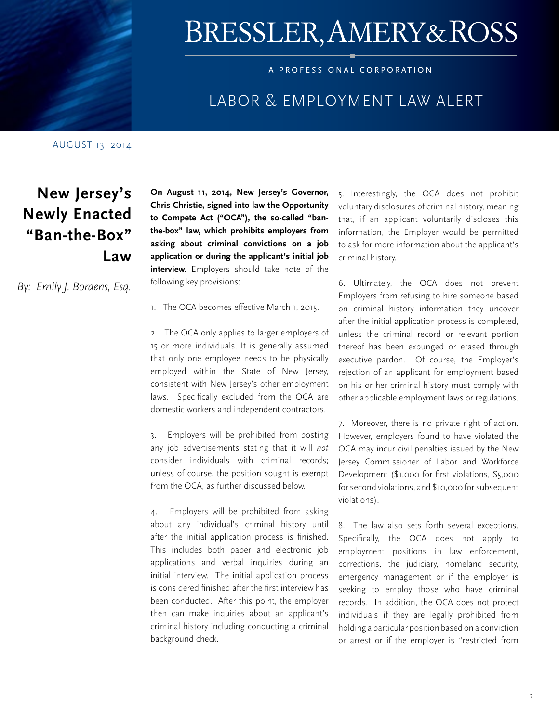

# BRESSLER, AMERY&ROSS

#### A PROFESSIONAL CORPORATION

### [LABOR & EMPLOYMENT LAW ALERT](http://www.bressler.com/practice_profile.asp?ID=12&practice=Labor_and_Employment_Law)

#### AUGUST 13, 2014

# **New Jersey's Newly Enacted "Ban-the-Box" Law**

*By: Emily J. Bordens, Esq.* 

**On August 11, 2014, New Jersey's Governor, Chris Christie, signed into law the Opportunity to Compete Act ("OCA"), the so-called "banthe-box" law, which prohibits employers from asking about criminal convictions on a job application or during the applicant's initial job interview.** Employers should take note of the following key provisions:

1. The OCA becomes effective March 1, 2015.

2. The OCA only applies to larger employers of 15 or more individuals. It is generally assumed that only one employee needs to be physically employed within the State of New Jersey, consistent with New Jersey's other employment laws. Specifically excluded from the OCA are domestic workers and independent contractors.

3. Employers will be prohibited from posting any job advertisements stating that it will *not* consider individuals with criminal records; unless of course, the position sought is exempt from the OCA, as further discussed below.

4. Employers will be prohibited from asking about any individual's criminal history until after the initial application process is finished. This includes both paper and electronic job applications and verbal inquiries during an initial interview. The initial application process is considered finished after the first interview has been conducted. After this point, the employer then can make inquiries about an applicant's criminal history including conducting a criminal background check.

5. Interestingly, the OCA does not prohibit voluntary disclosures of criminal history, meaning that, if an applicant voluntarily discloses this information, the Employer would be permitted to ask for more information about the applicant's criminal history.

6. Ultimately, the OCA does not prevent Employers from refusing to hire someone based on criminal history information they uncover after the initial application process is completed, unless the criminal record or relevant portion thereof has been expunged or erased through executive pardon. Of course, the Employer's rejection of an applicant for employment based on his or her criminal history must comply with other applicable employment laws or regulations.

7. Moreover, there is no private right of action. However, employers found to have violated the OCA may incur civil penalties issued by the New Jersey Commissioner of Labor and Workforce Development (\$1,000 for first violations, \$5,000 for second violations, and \$10,000 for subsequent violations).

8. The law also sets forth several exceptions. Specifically, the OCA does not apply to employment positions in law enforcement, corrections, the judiciary, homeland security, emergency management or if the employer is seeking to employ those who have criminal records. In addition, the OCA does not protect individuals if they are legally prohibited from holding a particular position based on a conviction or arrest or if the employer is "restricted from